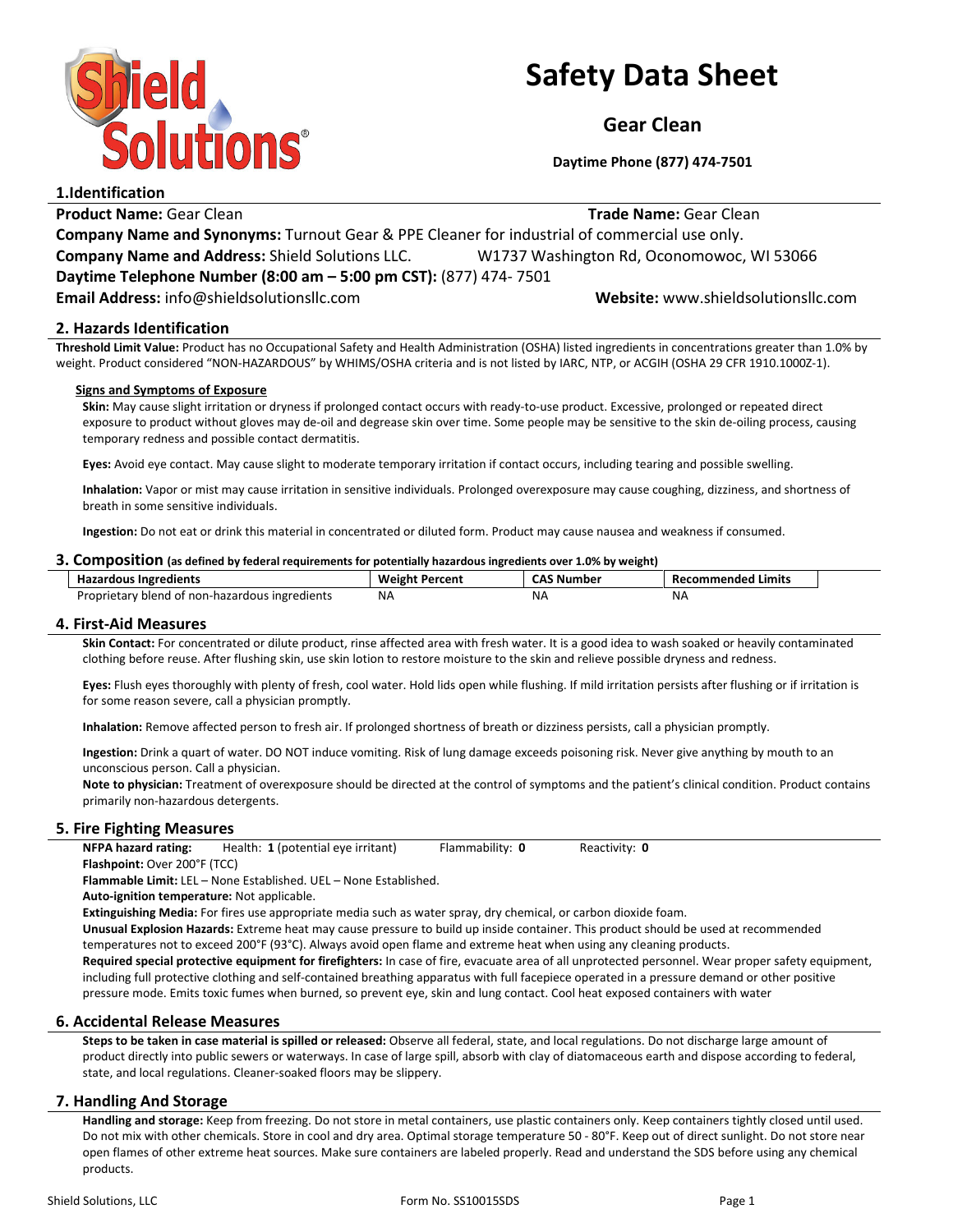

# Safety Data Sheet

Gear Clean

Daytime Phone (877) 474-7501

Product Name: Gear Clean **Trade Name: Gear Clean** Trade Name: Gear Clean Company Name and Synonyms: Turnout Gear & PPE Cleaner for industrial of commercial use only. Company Name and Address: Shield Solutions LLC. W1737 Washington Rd, Oconomowoc, WI 53066 Daytime Telephone Number (8:00 am – 5:00 pm CST): (877) 474- 7501 Email Address: info@shieldsolutionsllc.com Website: www.shieldsolutionsllc.com

# 2. Hazards Identification

1.Identification

Threshold Limit Value: Product has no Occupational Safety and Health Administration (OSHA) listed ingredients in concentrations greater than 1.0% by weight. Product considered "NON-HAZARDOUS" by WHIMS/OSHA criteria and is not listed by IARC, NTP, or ACGIH (OSHA 29 CFR 1910.1000Z-1).

#### Signs and Symptoms of Exposure

Skin: May cause slight irritation or dryness if prolonged contact occurs with ready-to-use product. Excessive, prolonged or repeated direct exposure to product without gloves may de-oil and degrease skin over time. Some people may be sensitive to the skin de-oiling process, causing temporary redness and possible contact dermatitis.

Eyes: Avoid eye contact. May cause slight to moderate temporary irritation if contact occurs, including tearing and possible swelling.

Inhalation: Vapor or mist may cause irritation in sensitive individuals. Prolonged overexposure may cause coughing, dizziness, and shortness of breath in some sensitive individuals.

Ingestion: Do not eat or drink this material in concentrated or diluted form. Product may cause nausea and weakness if consumed.

#### 3. Composition (as defined by federal requirements for potentially hazardous ingredients over 1.0% by weight)

| <b>Hazardous Ingredients</b>                   | Weight<br>ht Percent | Number<br>ີ | Recommended Limits |
|------------------------------------------------|----------------------|-------------|--------------------|
| Proprietary blend of non-hazardous ingredients | NA.                  | -NA         | <b>NA</b>          |

#### 4. First-Aid Measures

Skin Contact: For concentrated or dilute product, rinse affected area with fresh water. It is a good idea to wash soaked or heavily contaminated clothing before reuse. After flushing skin, use skin lotion to restore moisture to the skin and relieve possible dryness and redness.

Eyes: Flush eyes thoroughly with plenty of fresh, cool water. Hold lids open while flushing. If mild irritation persists after flushing or if irritation is for some reason severe, call a physician promptly.

Inhalation: Remove affected person to fresh air. If prolonged shortness of breath or dizziness persists, call a physician promptly.

Ingestion: Drink a quart of water. DO NOT induce vomiting. Risk of lung damage exceeds poisoning risk. Never give anything by mouth to an unconscious person. Call a physician.

Note to physician: Treatment of overexposure should be directed at the control of symptoms and the patient's clinical condition. Product contains primarily non-hazardous detergents.

# 5. Fire Fighting Measures

NFPA hazard rating: Health: 1 (potential eye irritant) Flammability: 0 Reactivity: 0 Flashpoint: Over 200°F (TCC)

Flammable Limit: LEL – None Established. UEL – None Established.

Auto-ignition temperature: Not applicable.

Extinguishing Media: For fires use appropriate media such as water spray, dry chemical, or carbon dioxide foam.

Unusual Explosion Hazards: Extreme heat may cause pressure to build up inside container. This product should be used at recommended temperatures not to exceed 200°F (93°C). Always avoid open flame and extreme heat when using any cleaning products.

Required special protective equipment for firefighters: In case of fire, evacuate area of all unprotected personnel. Wear proper safety equipment, including full protective clothing and self-contained breathing apparatus with full facepiece operated in a pressure demand or other positive pressure mode. Emits toxic fumes when burned, so prevent eye, skin and lung contact. Cool heat exposed containers with water

# 6. Accidental Release Measures

Steps to be taken in case material is spilled or released: Observe all federal, state, and local regulations. Do not discharge large amount of product directly into public sewers or waterways. In case of large spill, absorb with clay of diatomaceous earth and dispose according to federal, state, and local regulations. Cleaner-soaked floors may be slippery.

# 7. Handling And Storage

Handling and storage: Keep from freezing. Do not store in metal containers, use plastic containers only. Keep containers tightly closed until used. Do not mix with other chemicals. Store in cool and dry area. Optimal storage temperature 50 - 80°F. Keep out of direct sunlight. Do not store near open flames of other extreme heat sources. Make sure containers are labeled properly. Read and understand the SDS before using any chemical products.